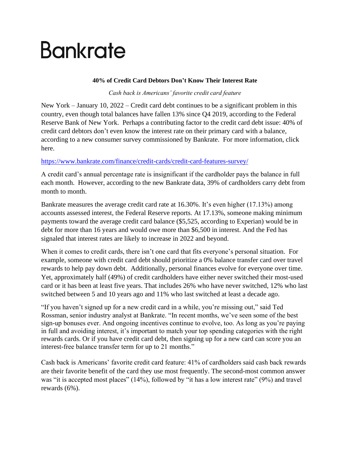# Bankrate

### **40% of Credit Card Debtors Don't Know Their Interest Rate**

*Cash back is Americans' favorite credit card feature*

New York – January 10, 2022 – Credit card debt continues to be a significant problem in this country, even though total balances have fallen 13% since Q4 2019, according to the Federal Reserve Bank of New York. Perhaps a contributing factor to the credit card debt issue: 40% of credit card debtors don't even know the interest rate on their primary card with a balance, according to a new consumer survey commissioned by Bankrate. For more information, click here.

## <https://www.bankrate.com/finance/credit-cards/credit-card-features-survey/>

A credit card's annual percentage rate is insignificant if the cardholder pays the balance in full each month. However, according to the new Bankrate data, 39% of cardholders carry debt from month to month.

Bankrate measures the average credit card rate at 16.30%. It's even higher (17.13%) among accounts assessed interest, the Federal Reserve reports. At 17.13%, someone making minimum payments toward the average credit card balance (\$5,525, according to Experian) would be in debt for more than 16 years and would owe more than \$6,500 in interest. And the Fed has signaled that interest rates are likely to increase in 2022 and beyond.

When it comes to credit cards, there isn't one card that fits everyone's personal situation. For example, someone with credit card debt should prioritize a 0% balance transfer card over travel rewards to help pay down debt. Additionally, personal finances evolve for everyone over time. Yet, approximately half (49%) of credit cardholders have either never switched their most-used card or it has been at least five years. That includes 26% who have never switched, 12% who last switched between 5 and 10 years ago and 11% who last switched at least a decade ago.

"If you haven't signed up for a new credit card in a while, you're missing out," said Ted Rossman, senior industry analyst at Bankrate. "In recent months, we've seen some of the best sign-up bonuses ever. And ongoing incentives continue to evolve, too. As long as you're paying in full and avoiding interest, it's important to match your top spending categories with the right rewards cards. Or if you have credit card debt, then signing up for a new card can score you an interest-free balance transfer term for up to 21 months."

Cash back is Americans' favorite credit card feature: 41% of cardholders said cash back rewards are their favorite benefit of the card they use most frequently. The second-most common answer was "it is accepted most places" (14%), followed by "it has a low interest rate" (9%) and travel rewards (6%).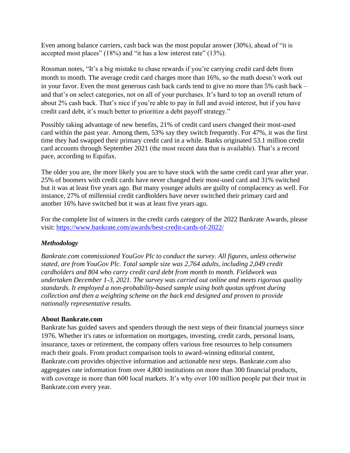Even among balance carriers, cash back was the most popular answer (30%), ahead of "it is accepted most places" (18%) and "it has a low interest rate" (13%).

Rossman notes, "It's a big mistake to chase rewards if you're carrying credit card debt from month to month. The average credit card [charges more than 16%,](https://nam02.safelinks.protection.outlook.com/?url=https%3A%2F%2Fwww.bankrate.com%2Ffinance%2Fcredit-cards%2Fcurrent-interest-rates%2F&data=04%7C01%7Ckyates%40bankrate.com%7Cd726580e14ef4a26639008d9b8d39892%7C4289d6102cfd46218c9644a1518ddb0a%7C0%7C0%7C637744041200084146%7CUnknown%7CTWFpbGZsb3d8eyJWIjoiMC4wLjAwMDAiLCJQIjoiV2luMzIiLCJBTiI6Ik1haWwiLCJXVCI6Mn0%3D%7C3000&sdata=RmqKD1jwXsliXNvDLUbGo%2FPR04h1oTtMxYGV9Imtlow%3D&reserved=0) so the math doesn't work out in your favor. Even the most generous cash back cards tend to give no more than 5% cash back – and that's on select categories, not on all of your purchases. It's hard to top an overall return of about 2% cash back. That's nice if you're able to pay in full and avoid interest, but if you have credit card debt, it's much better to prioritize a debt payoff strategy."

Possibly taking advantage of new benefits, 21% of credit card users changed their most-used card within the past year. Among them, 53% say they switch frequently. For 47%, it was the first time they had swapped their primary credit card in a while. Banks originated 53.1 million credit card accounts through September 2021 (the most recent data that is available). That's a record pace, according to Equifax.

The older you are, the more likely you are to have stuck with the same credit card year after year. 25% of boomers with credit cards have never changed their most-used card and 31% switched but it was at least five years ago. But many younger adults are guilty of complacency as well. For instance, 27% of millennial credit cardholders have never switched their primary card and another 16% have switched but it was at least five years ago.

For the complete list of winners in the credit cards category of the 2022 Bankrate Awards, please visit: <https://www.bankrate.com/awards/best-credit-cards-of-2022/>

## *Methodology*

*Bankrate.com commissioned YouGov Plc to conduct the survey. All figures, unless otherwise stated, are from YouGov Plc. Total sample size was 2,764 adults, including 2,049 credit cardholders and 804 who carry credit card debt from month to month. Fieldwork was undertaken December 1-3, 2021. The survey was carried out online and meets rigorous quality standards. It employed a non-probability-based sample using both quotas upfront during collection and then a weighting scheme on the back end designed and proven to provide nationally representative results.*

## **About Bankrate.com**

Bankrate has guided savers and spenders through the next steps of their financial journeys since 1976. Whether it's rates or information on mortgages, investing, credit cards, personal loans, insurance, taxes or retirement, the company offers various free resources to help consumers reach their goals. From product comparison tools to award-winning editorial content, Bankrate.com provides objective information and actionable next steps. Bankrate.com also aggregates rate information from over 4,800 institutions on more than 300 financial products, with coverage in more than 600 local markets. It's why over 100 million people put their trust in Bankrate.com every year.